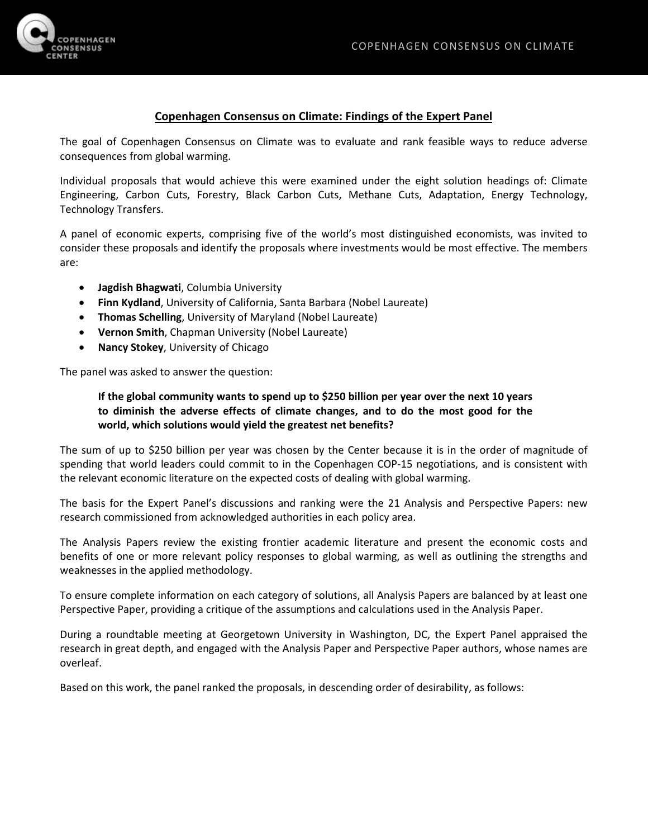

## **Copenhagen Consensus on Climate: Findings of the Expert Panel**

The goal of Copenhagen Consensus on Climate was to evaluate and rank feasible ways to reduce adverse consequences from global warming.

Individual proposals that would achieve this were examined under the eight solution headings of: Climate Engineering, Carbon Cuts, Forestry, Black Carbon Cuts, Methane Cuts, Adaptation, Energy Technology, Technology Transfers.

A panel of economic experts, comprising five of the world's most distinguished economists, was invited to consider these proposals and identify the proposals where investments would be most effective. The members are:

- **Jagdish Bhagwati**, Columbia University
- **Finn Kydland**, University of California, Santa Barbara (Nobel Laureate)
- **Thomas Schelling**, University of Maryland (Nobel Laureate)
- **Vernon Smith**, Chapman University (Nobel Laureate)
- **Nancy Stokey**, University of Chicago

The panel was asked to answer the question:

## **If the global community wants to spend up to \$250 billion per year over the next 10 years to diminish the adverse effects of climate changes, and to do the most good for the world, which solutions would yield the greatest net benefits?**

The sum of up to \$250 billion per year was chosen by the Center because it is in the order of magnitude of spending that world leaders could commit to in the Copenhagen COP-15 negotiations, and is consistent with the relevant economic literature on the expected costs of dealing with global warming.

The basis for the Expert Panel's discussions and ranking were the 21 Analysis and Perspective Papers: new research commissioned from acknowledged authorities in each policy area.

The Analysis Papers review the existing frontier academic literature and present the economic costs and benefits of one or more relevant policy responses to global warming, as well as outlining the strengths and weaknesses in the applied methodology.

To ensure complete information on each category of solutions, all Analysis Papers are balanced by at least one Perspective Paper, providing a critique of the assumptions and calculations used in the Analysis Paper.

During a roundtable meeting at Georgetown University in Washington, DC, the Expert Panel appraised the research in great depth, and engaged with the Analysis Paper and Perspective Paper authors, whose names are overleaf.

Based on this work, the panel ranked the proposals, in descending order of desirability, as follows: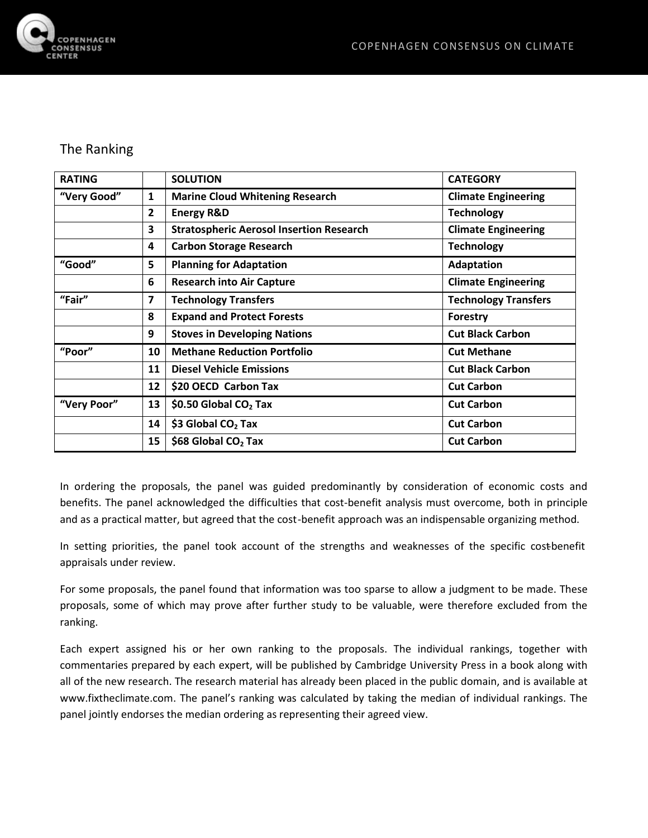

## The Ranking

| <b>RATING</b> |                | <b>SOLUTION</b>                                 | <b>CATEGORY</b>             |
|---------------|----------------|-------------------------------------------------|-----------------------------|
| "Very Good"   | 1              | <b>Marine Cloud Whitening Research</b>          | <b>Climate Engineering</b>  |
|               | $\overline{2}$ | <b>Energy R&amp;D</b>                           | <b>Technology</b>           |
|               | 3              | <b>Stratospheric Aerosol Insertion Research</b> | <b>Climate Engineering</b>  |
|               | 4              | <b>Carbon Storage Research</b>                  | <b>Technology</b>           |
| "Good"        | 5              | <b>Planning for Adaptation</b>                  | <b>Adaptation</b>           |
|               | 6              | <b>Research into Air Capture</b>                | <b>Climate Engineering</b>  |
| "Fair"        | $\overline{ }$ | <b>Technology Transfers</b>                     | <b>Technology Transfers</b> |
|               | 8              | <b>Expand and Protect Forests</b>               | Forestry                    |
|               | 9              | <b>Stoves in Developing Nations</b>             | <b>Cut Black Carbon</b>     |
| "Poor"        | 10             | <b>Methane Reduction Portfolio</b>              | <b>Cut Methane</b>          |
|               | 11             | <b>Diesel Vehicle Emissions</b>                 | <b>Cut Black Carbon</b>     |
|               | 12             | \$20 OECD Carbon Tax                            | <b>Cut Carbon</b>           |
| "Very Poor"   | 13             | \$0.50 Global $CO2$ Tax                         | <b>Cut Carbon</b>           |
|               | 14             | \$3 Global CO <sub>2</sub> Tax                  | <b>Cut Carbon</b>           |
|               | 15             | \$68 Global $CO2$ Tax                           | <b>Cut Carbon</b>           |

In ordering the proposals, the panel was guided predominantly by consideration of economic costs and benefits. The panel acknowledged the difficulties that cost-benefit analysis must overcome, both in principle and as a practical matter, but agreed that the cost-benefit approach was an indispensable organizing method.

In setting priorities, the panel took account of the strengths and weaknesses of the specific costbenefit appraisals under review.

For some proposals, the panel found that information was too sparse to allow a judgment to be made. These proposals, some of which may prove after further study to be valuable, were therefore excluded from the ranking.

Each expert assigned his or her own ranking to the proposals. The individual rankings, together with commentaries prepared by each expert, will be published by Cambridge University Press in a book along with all of the new research. The research material has already been placed in the public domain, and is available at www.fixtheclimate.com. The panel's ranking was calculated by taking the median of individual rankings. The panel jointly endorses the median ordering as representing their agreed view.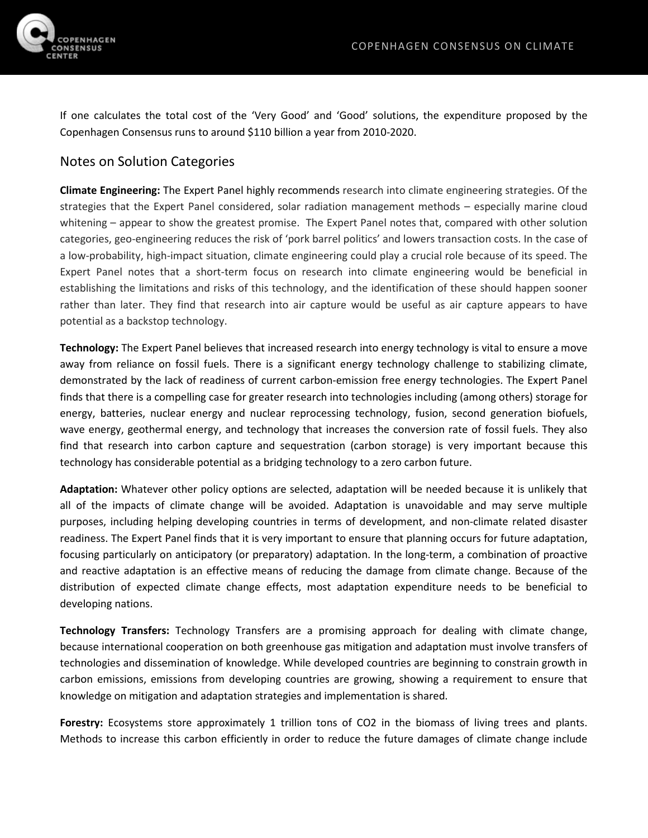

If one calculates the total cost of the 'Very Good' and 'Good' solutions, the expenditure proposed by the Copenhagen Consensus runs to around \$110 billion a year from 2010-2020.

## Notes on Solution Categories

**Climate Engineering:** The Expert Panel highly recommends research into climate engineering strategies. Of the strategies that the Expert Panel considered, solar radiation management methods – especially marine cloud whitening – appear to show the greatest promise. The Expert Panel notes that, compared with other solution categories, geo-engineering reduces the risk of 'pork barrel politics' and lowers transaction costs. In the case of a low-probability, high-impact situation, climate engineering could play a crucial role because of its speed. The Expert Panel notes that a short-term focus on research into climate engineering would be beneficial in establishing the limitations and risks of this technology, and the identification of these should happen sooner rather than later. They find that research into air capture would be useful as air capture appears to have potential as a backstop technology.

**Technology:** The Expert Panel believes that increased research into energy technology is vital to ensure a move away from reliance on fossil fuels. There is a significant energy technology challenge to stabilizing climate, demonstrated by the lack of readiness of current carbon-emission free energy technologies. The Expert Panel finds that there is a compelling case for greater research into technologies including (among others) storage for energy, batteries, nuclear energy and nuclear reprocessing technology, fusion, second generation biofuels, wave energy, geothermal energy, and technology that increases the conversion rate of fossil fuels. They also find that research into carbon capture and sequestration (carbon storage) is very important because this technology has considerable potential as a bridging technology to a zero carbon future.

**Adaptation:** Whatever other policy options are selected, adaptation will be needed because it is unlikely that all of the impacts of climate change will be avoided. Adaptation is unavoidable and may serve multiple purposes, including helping developing countries in terms of development, and non-climate related disaster readiness. The Expert Panel finds that it is very important to ensure that planning occurs for future adaptation, focusing particularly on anticipatory (or preparatory) adaptation. In the long-term, a combination of proactive and reactive adaptation is an effective means of reducing the damage from climate change. Because of the distribution of expected climate change effects, most adaptation expenditure needs to be beneficial to developing nations.

**Technology Transfers:** Technology Transfers are a promising approach for dealing with climate change, because international cooperation on both greenhouse gas mitigation and adaptation must involve transfers of technologies and dissemination of knowledge. While developed countries are beginning to constrain growth in carbon emissions, emissions from developing countries are growing, showing a requirement to ensure that knowledge on mitigation and adaptation strategies and implementation is shared.

**Forestry:** Ecosystems store approximately 1 trillion tons of CO2 in the biomass of living trees and plants. Methods to increase this carbon efficiently in order to reduce the future damages of climate change include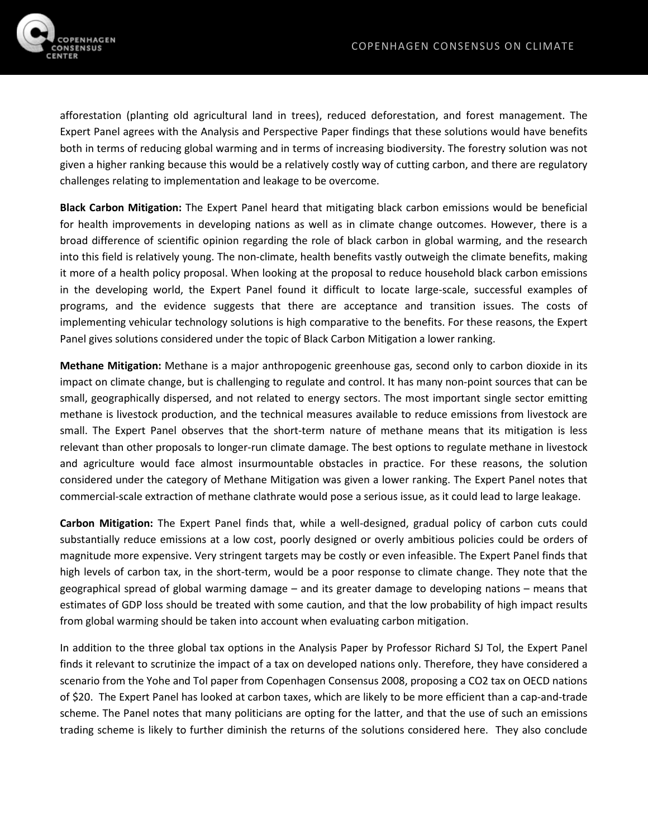

afforestation (planting old agricultural land in trees), reduced deforestation, and forest management. The Expert Panel agrees with the Analysis and Perspective Paper findings that these solutions would have benefits both in terms of reducing global warming and in terms of increasing biodiversity. The forestry solution was not given a higher ranking because this would be a relatively costly way of cutting carbon, and there are regulatory challenges relating to implementation and leakage to be overcome.

**Black Carbon Mitigation:** The Expert Panel heard that mitigating black carbon emissions would be beneficial for health improvements in developing nations as well as in climate change outcomes. However, there is a broad difference of scientific opinion regarding the role of black carbon in global warming, and the research into this field is relatively young. The non-climate, health benefits vastly outweigh the climate benefits, making it more of a health policy proposal. When looking at the proposal to reduce household black carbon emissions in the developing world, the Expert Panel found it difficult to locate large-scale, successful examples of programs, and the evidence suggests that there are acceptance and transition issues. The costs of implementing vehicular technology solutions is high comparative to the benefits. For these reasons, the Expert Panel gives solutions considered under the topic of Black Carbon Mitigation a lower ranking.

**Methane Mitigation:** Methane is a major anthropogenic greenhouse gas, second only to carbon dioxide in its impact on climate change, but is challenging to regulate and control. It has many non-point sources that can be small, geographically dispersed, and not related to energy sectors. The most important single sector emitting methane is livestock production, and the technical measures available to reduce emissions from livestock are small. The Expert Panel observes that the short-term nature of methane means that its mitigation is less relevant than other proposals to longer-run climate damage. The best options to regulate methane in livestock and agriculture would face almost insurmountable obstacles in practice. For these reasons, the solution considered under the category of Methane Mitigation was given a lower ranking. The Expert Panel notes that commercial-scale extraction of methane clathrate would pose a serious issue, as it could lead to large leakage.

**Carbon Mitigation:** The Expert Panel finds that, while a well-designed, gradual policy of carbon cuts could substantially reduce emissions at a low cost, poorly designed or overly ambitious policies could be orders of magnitude more expensive. Very stringent targets may be costly or even infeasible. The Expert Panel finds that high levels of carbon tax, in the short-term, would be a poor response to climate change. They note that the geographical spread of global warming damage – and its greater damage to developing nations – means that estimates of GDP loss should be treated with some caution, and that the low probability of high impact results from global warming should be taken into account when evaluating carbon mitigation.

In addition to the three global tax options in the Analysis Paper by Professor Richard SJ Tol, the Expert Panel finds it relevant to scrutinize the impact of a tax on developed nations only. Therefore, they have considered a scenario from the Yohe and Tol paper from Copenhagen Consensus 2008, proposing a CO2 tax on OECD nations of \$20. The Expert Panel has looked at carbon taxes, which are likely to be more efficient than a cap-and-trade scheme. The Panel notes that many politicians are opting for the latter, and that the use of such an emissions trading scheme is likely to further diminish the returns of the solutions considered here. They also conclude